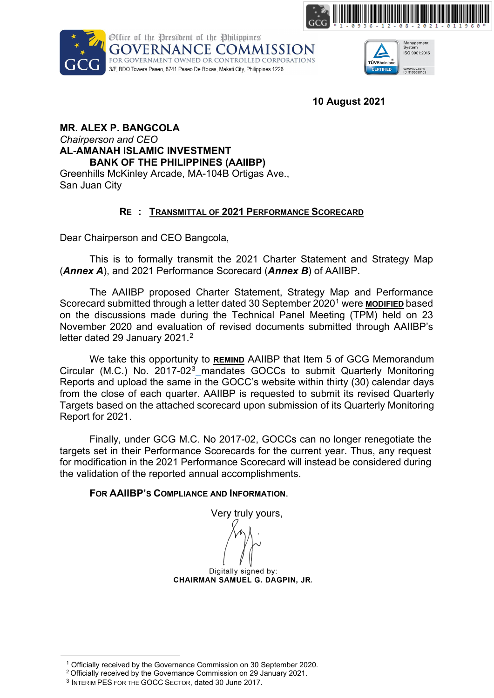





**10 August 2021**

#### **MR. ALEX P. BANGCOLA** *Chairperson and CEO*  **AL-AMANAH ISLAMIC INVESTMENT BANK OF THE PHILIPPINES (AAIIBP)** Greenhills McKinley Arcade, MA-104B Ortigas Ave., San Juan City

## **RE : TRANSMITTAL OF 2021 PERFORMANCE SCORECARD**

Dear Chairperson and CEO Bangcola,

This is to formally transmit the 2021 Charter Statement and Strategy Map (*Annex A*), and 2021 Performance Scorecard (*Annex B*) of AAIIBP.

The AAIIBP proposed Charter Statement, Strategy Map and Performance Scorecard submitted through a letter dated 30 September 2020[1](#page-0-0) were **MODIFIED** based on the discussions made during the Technical Panel Meeting (TPM) held on 23 November 2020 and evaluation of revised documents submitted through AAIIBP's letter dated [2](#page-0-1)9 January 2021.<sup>2</sup>

We take this opportunity to **REMIND** AAIIBP that Item 5 of GCG Memorandum Circular (M.C.) No. 2017-02[3](#page-0-2) mandates GOCCs to submit Quarterly Monitoring Reports and upload the same in the GOCC's website within thirty (30) calendar days from the close of each quarter. AAIIBP is requested to submit its revised Quarterly Targets based on the attached scorecard upon submission of its Quarterly Monitoring Report for 2021.

Finally, under GCG M.C. No 2017-02, GOCCs can no longer renegotiate the targets set in their Performance Scorecards for the current year. Thus, any request for modification in the 2021 Performance Scorecard will instead be considered during the validation of the reported annual accomplishments.

### **FOR AAIIBP'S COMPLIANCE AND INFORMATION**.

Very truly yours, Digitally signed by: CHAIRMAN SAMUEL G. DAGPIN, JR.

<span id="page-0-2"></span><span id="page-0-1"></span><span id="page-0-0"></span><sup>1</sup> Officially received by the Governance Commission on 30 September 2020.

<sup>2</sup> Officially received by the Governance Commission on 29 January 2021.

<sup>3</sup> INTERIM PES FOR THE GOCC SECTOR, dated 30 June 2017.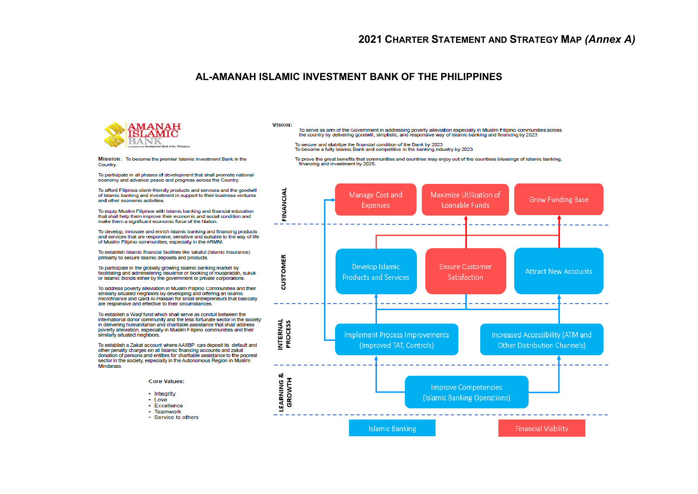#### AI-AMANAH ISI AMIC INVESTMENT BANK OF THE PHILIPPINES



#### Vision:

To serve as arm of the Government in addressing poverty alleviation especially in Muslim Filipino communities across the country by delivering goodwill, simplistic, and responsive way of Islamic banking and financing by 2023

To secure and stabilize the financial condition of the Bank by 2023

Mission: To become the premier Islamic Investment Bank in the Country

To participate in all phases of development that shall promote national economy and advance peace and progress across the Country.

To afford Filipinos client-friendly products and services and the goodwill of Islamic banking and investment in support to their business ventures and other economic activities.

To equip Muslim Filipinos with Islamic banking and financial education that shall help them improve their economic and social condition and make them a significant economic force of the Nation.

To develop, innovate and enrich Islamic banking and financing products and services that are responsive, sensitive and suitable to the way of life of Muslim Filipino communities, especially in the ARMM.

To establish Islamic financial facilities like takaful (Islamic Insurance) primarily to secure Islamic deposits and products.

To participate in the globally growing Islamic banking market by facilitating and administering issuance or booking of muqaradah, sukuk or Islamic Bonds either by the government or private corporations.

To address poverty alleviation in Muslim Filipino Communities and their similarly situated neighbors by developing and offering an Islamic microfinance and Qard Al-Hassan for small entrepreneurs that basically are responsive and effective to their circumstances.

To establish a Waqf fund which shall serve as conduit between the international donor community and the less fortunate sector in the society in delivering humanitarian and charitable assistance that shall address poverty alleviation, especially in Muslim Filipino communities and their similarly situated neighbors.

To establish a Zakat account where AAIIBP can deposit its default and other penalty charges on all Islamic financing accounts and zakat donation of persons and entities for charitable assistance to the poorest sector in the society, especially in the Autonomous Region in Muslim Mindanao.



- Integrity
- Love
- · Excellence
- Teamwork
- · Service to others

To become a fully Islamic Bank and competitive in the banking industry by 2023

To prove the great benefits that communities and countries may enjoy out of the countless blessings of Islamic banking,<br>financing and investment by 2025.

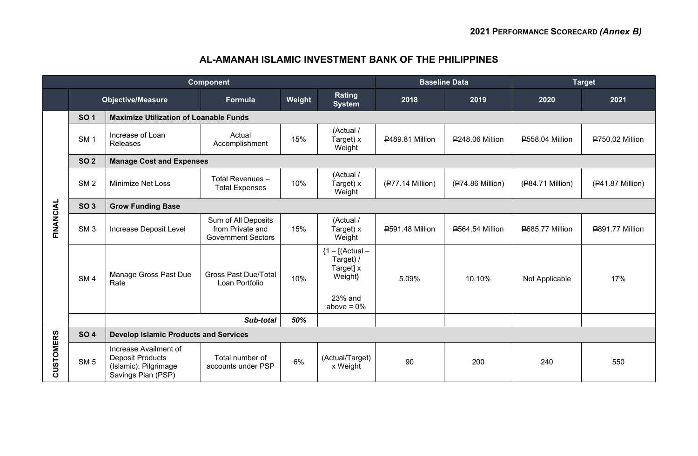# **AL-AMANAH ISLAMIC INVESTMENT BANK OF THE PHILIPPINES**

| <b>Component</b> |                 |                                                                                                 |                                                                      |        | <b>Baseline Data</b>                                   |                        | <b>Target</b>          |                        |                  |  |  |
|------------------|-----------------|-------------------------------------------------------------------------------------------------|----------------------------------------------------------------------|--------|--------------------------------------------------------|------------------------|------------------------|------------------------|------------------|--|--|
|                  |                 | <b>Objective/Measure</b>                                                                        | Formula                                                              | Weight | Rating<br><b>System</b>                                | 2018                   | 2019                   | 2020                   | 2021             |  |  |
|                  | <b>SO1</b>      | <b>Maximize Utilization of Loanable Funds</b>                                                   |                                                                      |        |                                                        |                        |                        |                        |                  |  |  |
|                  | SM <sub>1</sub> | Increase of Loan<br>Releases                                                                    | Actual<br>Accomplishment                                             | 15%    | (Actual /<br>Target) x<br>Weight                       | P489.81 Million        | <b>P248.06 Million</b> | <b>P558.04 Million</b> | P750.02 Million  |  |  |
|                  | <b>SO 2</b>     | <b>Manage Cost and Expenses</b>                                                                 |                                                                      |        |                                                        |                        |                        |                        |                  |  |  |
|                  | SM <sub>2</sub> | <b>Minimize Net Loss</b>                                                                        | Total Revenues -<br><b>Total Expenses</b>                            | 10%    | (Actual /<br>Target) x<br>Weight                       | $(P77.14$ Million)     | $(P74.86$ Million)     | (P84.71 Million)       | (P41.87 Million) |  |  |
|                  | <b>SO 3</b>     | <b>Grow Funding Base</b>                                                                        |                                                                      |        |                                                        |                        |                        |                        |                  |  |  |
| FINANCIAL        | SM <sub>3</sub> | Increase Deposit Level                                                                          | Sum of All Deposits<br>from Private and<br><b>Government Sectors</b> | 15%    | (Actual /<br>Target) x<br>Weight                       | <b>P591.48 Million</b> | <b>P564.54 Million</b> | P685.77 Million        | P891.77 Million  |  |  |
|                  | SM <sub>4</sub> | Manage Gross Past Due<br>Rate                                                                   | <b>Gross Past Due/Total</b><br>Loan Portfolio                        | 10%    | ${1 - [(Actual -$<br>Target) /<br>Target] x<br>Weight} | 5.09%                  | 10.10%                 | Not Applicable         | 17%              |  |  |
|                  |                 |                                                                                                 |                                                                      |        | 23% and<br>above = $0\%$                               |                        |                        |                        |                  |  |  |
|                  |                 |                                                                                                 |                                                                      |        |                                                        |                        |                        |                        |                  |  |  |
| CUSTOMERS        | <b>SO 4</b>     | <b>Develop Islamic Products and Services</b>                                                    |                                                                      |        |                                                        |                        |                        |                        |                  |  |  |
|                  | SM <sub>5</sub> | Increase Availment of<br><b>Deposit Products</b><br>(Islamic): Pilgrimage<br>Savings Plan (PSP) | Total number of<br>accounts under PSP                                | 6%     | (Actual/Target)<br>x Weight                            | 90                     | 200                    | 240                    | 550              |  |  |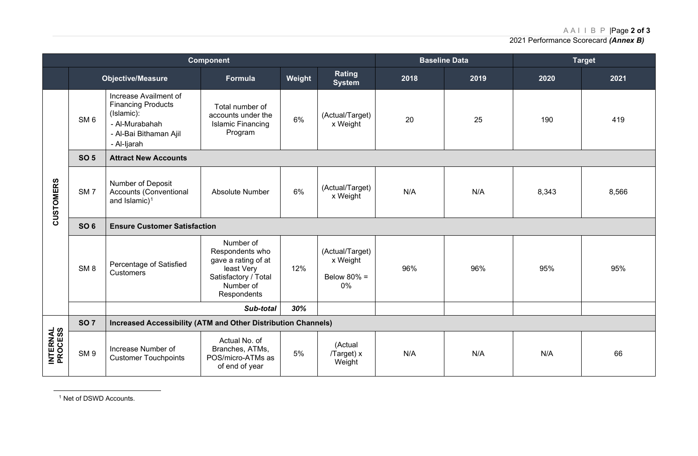AAI I B P |Page **2 of 3**

<span id="page-3-0"></span>2021 Performance Scorecard *(Annex B)*

|                             | <b>Component</b> |                                                                                                                             |                                                                                                                       |        |                                                     |      | <b>Baseline Data</b> |       | <b>Target</b> |  |
|-----------------------------|------------------|-----------------------------------------------------------------------------------------------------------------------------|-----------------------------------------------------------------------------------------------------------------------|--------|-----------------------------------------------------|------|----------------------|-------|---------------|--|
|                             |                  | <b>Objective/Measure</b>                                                                                                    | <b>Formula</b>                                                                                                        | Weight | Rating<br><b>System</b>                             | 2018 | 2019                 | 2020  | 2021          |  |
| CUSTOMERS                   | SM <sub>6</sub>  | Increase Availment of<br><b>Financing Products</b><br>(Islamic):<br>- Al-Murabahah<br>- Al-Bai Bithaman Ajil<br>- Al-Ijarah | Total number of<br>accounts under the<br><b>Islamic Financing</b><br>Program                                          | 6%     | (Actual/Target)<br>x Weight                         | 20   | 25                   | 190   | 419           |  |
|                             | <b>SO 5</b>      | <b>Attract New Accounts</b>                                                                                                 |                                                                                                                       |        |                                                     |      |                      |       |               |  |
|                             | SM <sub>7</sub>  | Number of Deposit<br>Accounts (Conventional<br>and Islamic) $1$                                                             | <b>Absolute Number</b>                                                                                                | 6%     | (Actual/Target)<br>x Weight                         | N/A  | N/A                  | 8,343 | 8,566         |  |
|                             | <b>SO 6</b>      | <b>Ensure Customer Satisfaction</b>                                                                                         |                                                                                                                       |        |                                                     |      |                      |       |               |  |
|                             | SM <sub>8</sub>  | Percentage of Satisfied<br><b>Customers</b>                                                                                 | Number of<br>Respondents who<br>gave a rating of at<br>least Very<br>Satisfactory / Total<br>Number of<br>Respondents | 12%    | (Actual/Target)<br>x Weight<br>Below $80\%$ =<br>0% | 96%  | 96%                  | 95%   | 95%           |  |
|                             |                  |                                                                                                                             | Sub-total                                                                                                             | 30%    |                                                     |      |                      |       |               |  |
| <b>INTERNAL<br/>PROCESS</b> | <b>SO 7</b>      | <b>Increased Accessibility (ATM and Other Distribution Channels)</b>                                                        |                                                                                                                       |        |                                                     |      |                      |       |               |  |
|                             | SM <sub>9</sub>  | Increase Number of<br><b>Customer Touchpoints</b>                                                                           | Actual No. of<br>Branches, ATMs,<br>POS/micro-ATMs as<br>of end of year                                               | 5%     | (Actual<br>/Target) x<br>Weight                     | N/A  | N/A                  | N/A   | 66            |  |

<sup>1</sup> Net of DSWD Accounts.